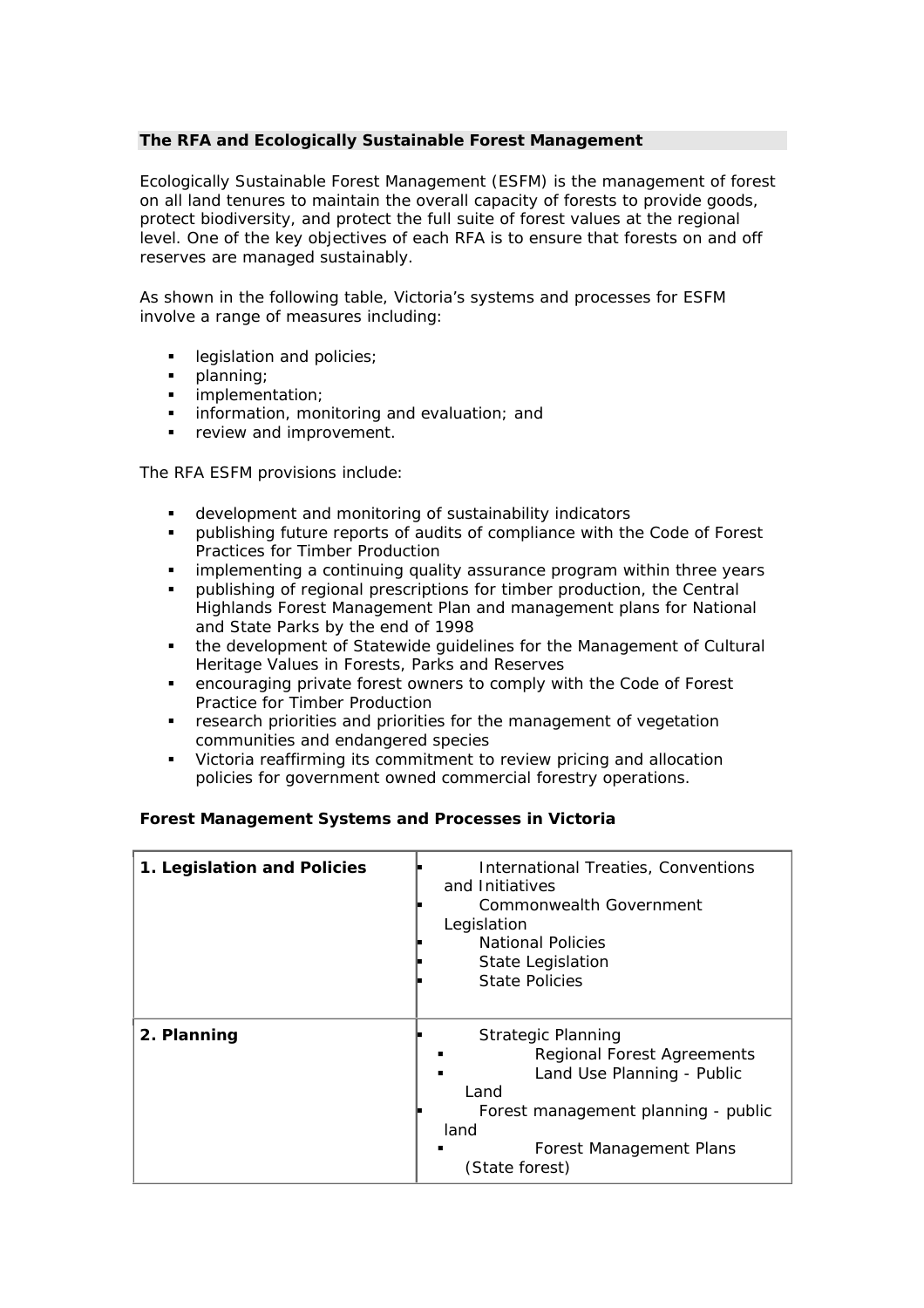## **The RFA and Ecologically Sustainable Forest Management**

Ecologically Sustainable Forest Management (ESFM) is the management of forest on all land tenures to maintain the overall capacity of forests to provide goods, protect biodiversity, and protect the full suite of forest values at the regional level. One of the key objectives of each RFA is to ensure that forests on and off reserves are managed sustainably.

As shown in the following table, Victoria's systems and processes for ESFM involve a range of measures including:

- legislation and policies;
- 
- **planning**;<br>**implemer** implementation;
- **information, monitoring and evaluation; and**
- review and improvement.

The RFA ESFM provisions include:

- development and monitoring of sustainability indicators
- publishing future reports of audits of compliance with the Code of Forest Practices for Timber Production
- implementing a continuing quality assurance program within three years
- publishing of regional prescriptions for timber production, the Central Highlands Forest Management Plan and management plans for National and State Parks by the end of 1998
- the development of Statewide guidelines for the Management of Cultural Heritage Values in Forests, Parks and Reserves
- encouraging private forest owners to comply with the Code of Forest Practice for Timber Production
- **F** research priorities and priorities for the management of vegetation communities and endangered species
- Victoria reaffirming its commitment to review pricing and allocation policies for government owned commercial forestry operations.

## **Forest Management Systems and Processes in Victoria**

| 1. Legislation and Policies | International Treaties, Conventions<br>and Initiatives<br>Commonwealth Government<br>Legislation<br><b>National Policies</b><br>State Legislation<br><b>State Policies</b>                       |
|-----------------------------|--------------------------------------------------------------------------------------------------------------------------------------------------------------------------------------------------|
| 2. Planning                 | <b>Strategic Planning</b><br><b>Regional Forest Agreements</b><br>Land Use Planning - Public<br>Land<br>Forest management planning - public<br>land<br>Forest Management Plans<br>(State forest) |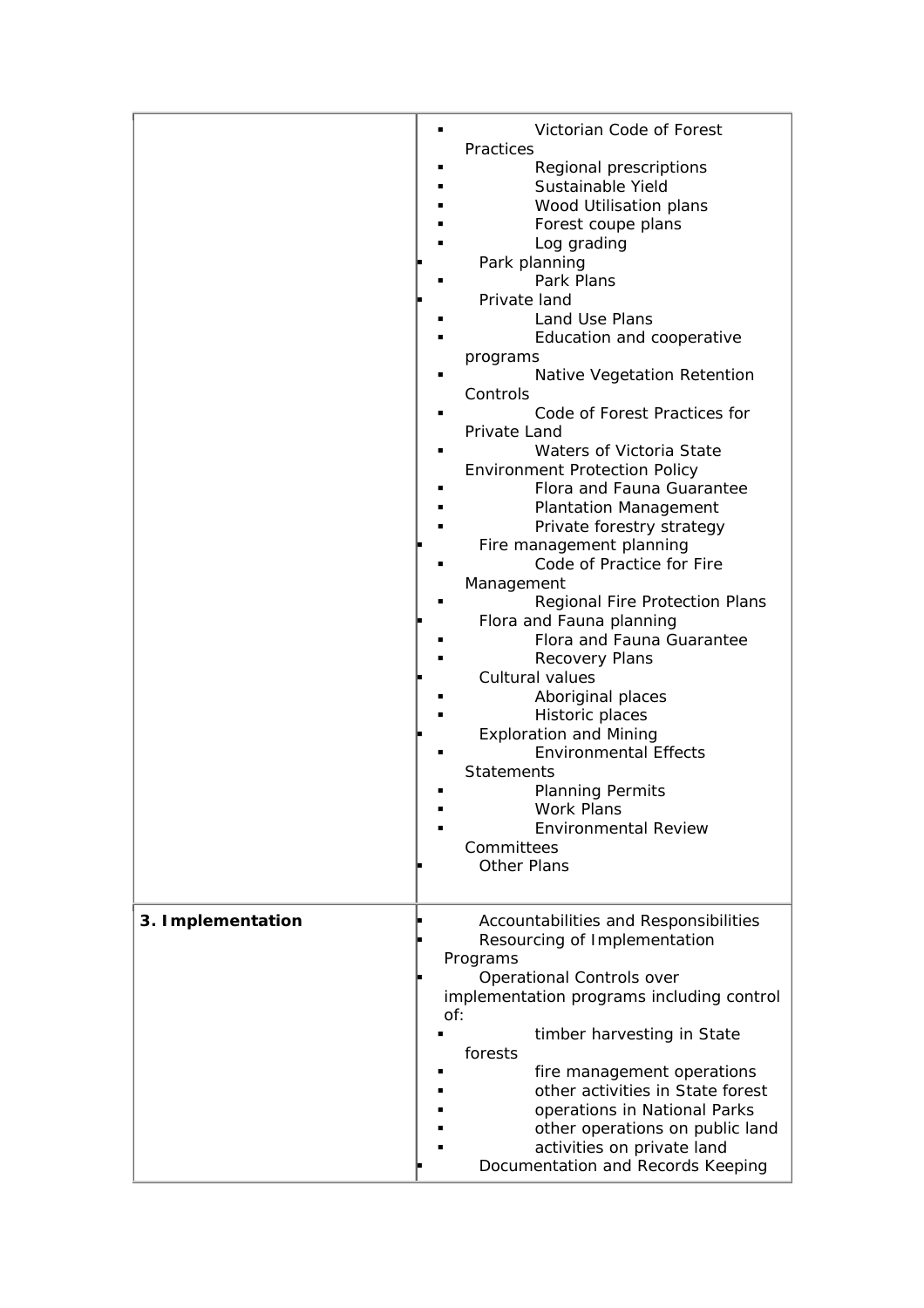|                   | Victorian Code of Forest<br>Practices<br>Regional prescriptions<br>Sustainable Yield<br>Wood Utilisation plans<br>Forest coupe plans<br>Log grading<br>Park planning<br>Park Plans<br>Private land<br>Land Use Plans<br>Education and cooperative<br>programs<br>Native Vegetation Retention<br>Controls<br>Code of Forest Practices for<br>Private Land<br>Waters of Victoria State<br><b>Environment Protection Policy</b><br>Flora and Fauna Guarantee<br><b>Plantation Management</b><br>Private forestry strategy<br>Fire management planning<br>Code of Practice for Fire<br>Management<br>Regional Fire Protection Plans<br>Flora and Fauna planning<br>Flora and Fauna Guarantee<br><b>Recovery Plans</b><br>Cultural values<br>Aboriginal places<br>Historic places<br><b>Exploration and Mining</b><br><b>Environmental Effects</b><br><b>Statements</b> |
|-------------------|--------------------------------------------------------------------------------------------------------------------------------------------------------------------------------------------------------------------------------------------------------------------------------------------------------------------------------------------------------------------------------------------------------------------------------------------------------------------------------------------------------------------------------------------------------------------------------------------------------------------------------------------------------------------------------------------------------------------------------------------------------------------------------------------------------------------------------------------------------------------|
|                   | <b>Planning Permits</b><br><b>Work Plans</b><br><b>Environmental Review</b><br>Committees                                                                                                                                                                                                                                                                                                                                                                                                                                                                                                                                                                                                                                                                                                                                                                          |
|                   | <b>Other Plans</b>                                                                                                                                                                                                                                                                                                                                                                                                                                                                                                                                                                                                                                                                                                                                                                                                                                                 |
| 3. Implementation | Accountabilities and Responsibilities<br>Resourcing of Implementation<br>Programs<br><b>Operational Controls over</b><br>implementation programs including control<br>of:                                                                                                                                                                                                                                                                                                                                                                                                                                                                                                                                                                                                                                                                                          |
|                   | timber harvesting in State<br>forests<br>fire management operations<br>other activities in State forest<br>operations in National Parks<br>other operations on public land<br>activities on private land<br>Documentation and Records Keeping                                                                                                                                                                                                                                                                                                                                                                                                                                                                                                                                                                                                                      |